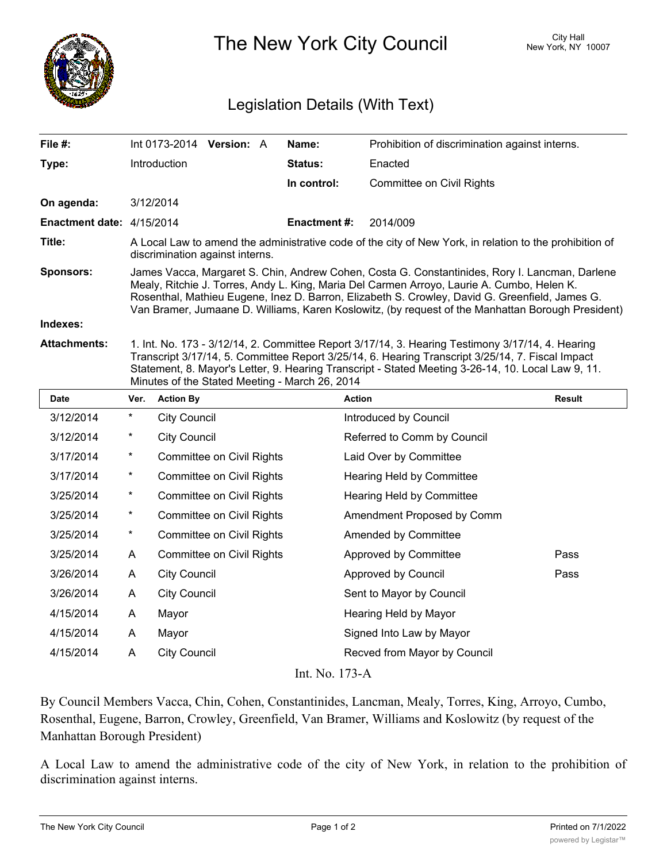

The New York City Council New York, NY 10007

## Legislation Details (With Text)

| File $#$ :                | Int 0173-2014 Version: A                                                                                                                                                                                                                                                                                                                                                                            |  |  | Name:               | Prohibition of discrimination against interns. |  |  |
|---------------------------|-----------------------------------------------------------------------------------------------------------------------------------------------------------------------------------------------------------------------------------------------------------------------------------------------------------------------------------------------------------------------------------------------------|--|--|---------------------|------------------------------------------------|--|--|
| Type:                     | <b>Introduction</b>                                                                                                                                                                                                                                                                                                                                                                                 |  |  | <b>Status:</b>      | Enacted                                        |  |  |
|                           |                                                                                                                                                                                                                                                                                                                                                                                                     |  |  | In control:         | Committee on Civil Rights                      |  |  |
| On agenda:                | 3/12/2014                                                                                                                                                                                                                                                                                                                                                                                           |  |  |                     |                                                |  |  |
| Enactment date: 4/15/2014 |                                                                                                                                                                                                                                                                                                                                                                                                     |  |  | <b>Enactment #:</b> | 2014/009                                       |  |  |
| Title:                    | A Local Law to amend the administrative code of the city of New York, in relation to the prohibition of<br>discrimination against interns.                                                                                                                                                                                                                                                          |  |  |                     |                                                |  |  |
| <b>Sponsors:</b>          | James Vacca, Margaret S. Chin, Andrew Cohen, Costa G. Constantinides, Rory I. Lancman, Darlene<br>Mealy, Ritchie J. Torres, Andy L. King, Maria Del Carmen Arroyo, Laurie A. Cumbo, Helen K.<br>Rosenthal, Mathieu Eugene, Inez D. Barron, Elizabeth S. Crowley, David G. Greenfield, James G.<br>Van Bramer, Jumaane D. Williams, Karen Koslowitz, (by request of the Manhattan Borough President) |  |  |                     |                                                |  |  |
| Indexes:                  |                                                                                                                                                                                                                                                                                                                                                                                                     |  |  |                     |                                                |  |  |
| <b>Attachments:</b>       | 1. Int. No. 173 - 3/12/14, 2. Committee Report 3/17/14, 3. Hearing Testimony 3/17/14, 4. Hearing<br>Transcript 3/17/14, 5. Committee Report 3/25/14, 6. Hearing Transcript 3/25/14, 7. Fiscal Impact<br>Statement, 8. Mayor's Letter, 9. Hearing Transcript - Stated Meeting 3-26-14, 10. Local Law 9, 11.<br>Minutes of the Stated Meeting - March 26, 2014                                        |  |  |                     |                                                |  |  |

| Date           | Ver.     | <b>Action By</b>                 | <b>Action</b>                | <b>Result</b> |  |  |  |
|----------------|----------|----------------------------------|------------------------------|---------------|--|--|--|
| 3/12/2014      | $^\star$ | City Council                     | Introduced by Council        |               |  |  |  |
| 3/12/2014      | $^\star$ | <b>City Council</b>              | Referred to Comm by Council  |               |  |  |  |
| 3/17/2014      | $^\star$ | Committee on Civil Rights        | Laid Over by Committee       |               |  |  |  |
| 3/17/2014      | $\ast$   | <b>Committee on Civil Rights</b> | Hearing Held by Committee    |               |  |  |  |
| 3/25/2014      | $\star$  | <b>Committee on Civil Rights</b> | Hearing Held by Committee    |               |  |  |  |
| 3/25/2014      | $\ast$   | <b>Committee on Civil Rights</b> | Amendment Proposed by Comm   |               |  |  |  |
| 3/25/2014      | $^\star$ | <b>Committee on Civil Rights</b> | Amended by Committee         |               |  |  |  |
| 3/25/2014      | A        | <b>Committee on Civil Rights</b> | Approved by Committee        | Pass          |  |  |  |
| 3/26/2014      | A        | <b>City Council</b>              | Approved by Council          | Pass          |  |  |  |
| 3/26/2014      | A        | <b>City Council</b>              | Sent to Mayor by Council     |               |  |  |  |
| 4/15/2014      | A        | Mayor                            | Hearing Held by Mayor        |               |  |  |  |
| 4/15/2014      | A        | Mayor                            | Signed Into Law by Mayor     |               |  |  |  |
| 4/15/2014      | A        | City Council                     | Recved from Mayor by Council |               |  |  |  |
| Int. No. 173-A |          |                                  |                              |               |  |  |  |

By Council Members Vacca, Chin, Cohen, Constantinides, Lancman, Mealy, Torres, King, Arroyo, Cumbo, Rosenthal, Eugene, Barron, Crowley, Greenfield, Van Bramer, Williams and Koslowitz (by request of the Manhattan Borough President)

A Local Law to amend the administrative code of the city of New York, in relation to the prohibition of discrimination against interns.